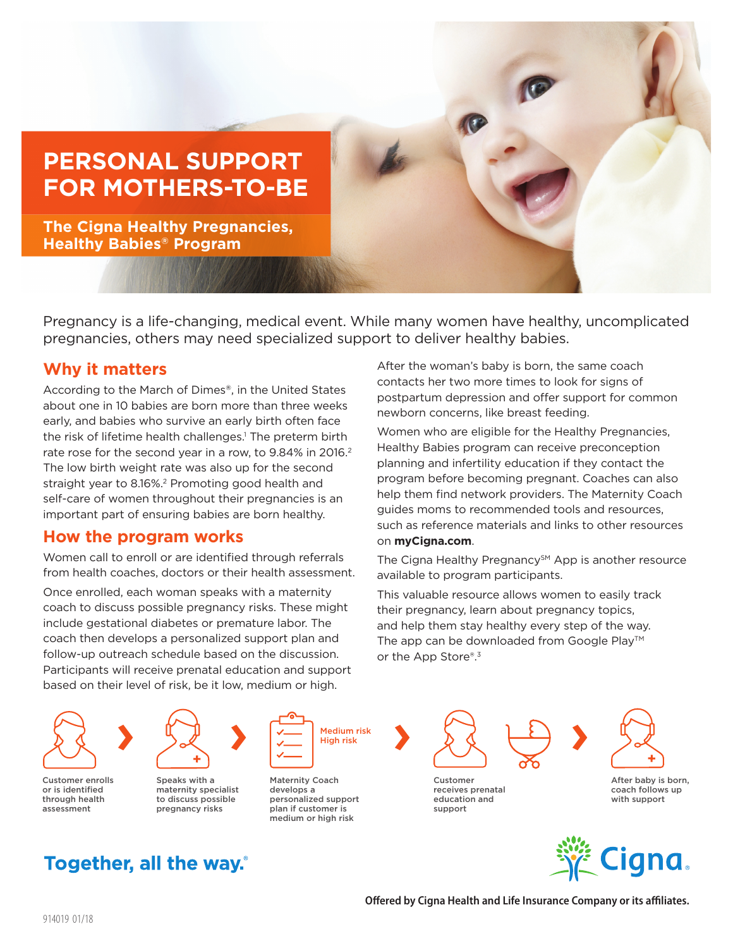# **PERSONAL SUPPORT FOR MOTHERS-TO-BE**

**The Cigna Healthy Pregnancies, Healthy Babies® Program**

Pregnancy is a life-changing, medical event. While many women have healthy, uncomplicated pregnancies, others may need specialized support to deliver healthy babies.

### **Why it matters**

According to the March of Dimes®, in the United States about one in 10 babies are born more than three weeks early, and babies who survive an early birth often face the risk of lifetime health challenges.<sup>1</sup> The preterm birth rate rose for the second year in a row, to 9.84% in 2016.<sup>2</sup> The low birth weight rate was also up for the second straight year to 8.16%.<sup>2</sup> Promoting good health and self-care of women throughout their pregnancies is an important part of ensuring babies are born healthy.

#### **How the program works**

Women call to enroll or are identified through referrals from health coaches, doctors or their health assessment.

Once enrolled, each woman speaks with a maternity coach to discuss possible pregnancy risks. These might include gestational diabetes or premature labor. The coach then develops a personalized support plan and follow-up outreach schedule based on the discussion. Participants will receive prenatal education and support based on their level of risk, be it low, medium or high.

After the woman's baby is born, the same coach contacts her two more times to look for signs of postpartum depression and offer support for common newborn concerns, like breast feeding.

Women who are eligible for the Healthy Pregnancies, Healthy Babies program can receive preconception planning and infertility education if they contact the program before becoming pregnant. Coaches can also help them find network providers. The Maternity Coach guides moms to recommended tools and resources, such as reference materials and links to other resources on **myCigna.com**.

The Cigna Healthy Pregnancy<sup>SM</sup> App is another resource available to program participants.

This valuable resource allows women to easily track their pregnancy, learn about pregnancy topics, and help them stay healthy every step of the way. The app can be downloaded from Google Play™ or the App Store®.3



Customer enrolls or is identified through health assessment



Speaks with a maternity specialist to discuss possible pregnancy risks



Maternity Coach develops a personalized support plan if customer is medium or high risk



Customer receives prenatal education and support



After baby is born, coach follows up with support



## **Together, all the way.**